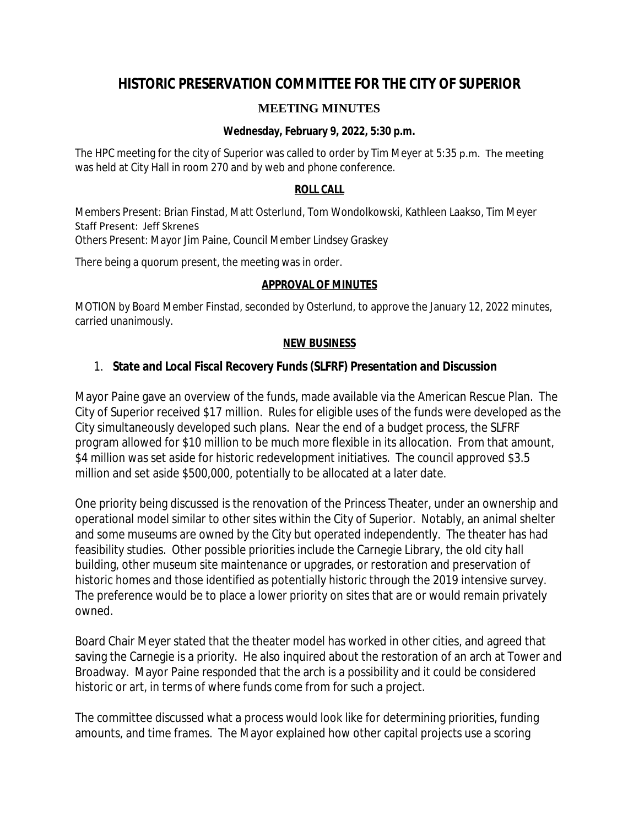# **HISTORIC PRESERVATION COMMITTEE FOR THE CITY OF SUPERIOR**

# **MEETING MINUTES**

## **Wednesday, February 9, 2022, 5:30 p.m.**

The HPC meeting for the city of Superior was called to order by Tim Meyer at 5:35 p.m. The meeting was held at City Hall in room 270 and by web and phone conference.

#### **ROLL CALL**

Members Present: Brian Finstad, Matt Osterlund, Tom Wondolkowski, Kathleen Laakso, Tim Meyer Staff Present: Jeff Skrenes Others Present: Mayor Jim Paine, Council Member Lindsey Graskey

There being a quorum present, the meeting was in order.

## **APPROVAL OF MINUTES**

MOTION by Board Member Finstad, seconded by Osterlund, to approve the January 12, 2022 minutes, carried unanimously.

#### **NEW BUSINESS**

# 1. **State and Local Fiscal Recovery Funds (SLFRF) Presentation and Discussion**

Mayor Paine gave an overview of the funds, made available via the American Rescue Plan. The City of Superior received \$17 million. Rules for eligible uses of the funds were developed as the City simultaneously developed such plans. Near the end of a budget process, the SLFRF program allowed for \$10 million to be much more flexible in its allocation. From that amount, \$4 million was set aside for historic redevelopment initiatives. The council approved \$3.5 million and set aside \$500,000, potentially to be allocated at a later date.

One priority being discussed is the renovation of the Princess Theater, under an ownership and operational model similar to other sites within the City of Superior. Notably, an animal shelter and some museums are owned by the City but operated independently. The theater has had feasibility studies. Other possible priorities include the Carnegie Library, the old city hall building, other museum site maintenance or upgrades, or restoration and preservation of historic homes and those identified as potentially historic through the 2019 intensive survey. The preference would be to place a lower priority on sites that are or would remain privately owned.

Board Chair Meyer stated that the theater model has worked in other cities, and agreed that saving the Carnegie is a priority. He also inquired about the restoration of an arch at Tower and Broadway. Mayor Paine responded that the arch is a possibility and it could be considered historic or art, in terms of where funds come from for such a project.

The committee discussed what a process would look like for determining priorities, funding amounts, and time frames. The Mayor explained how other capital projects use a scoring